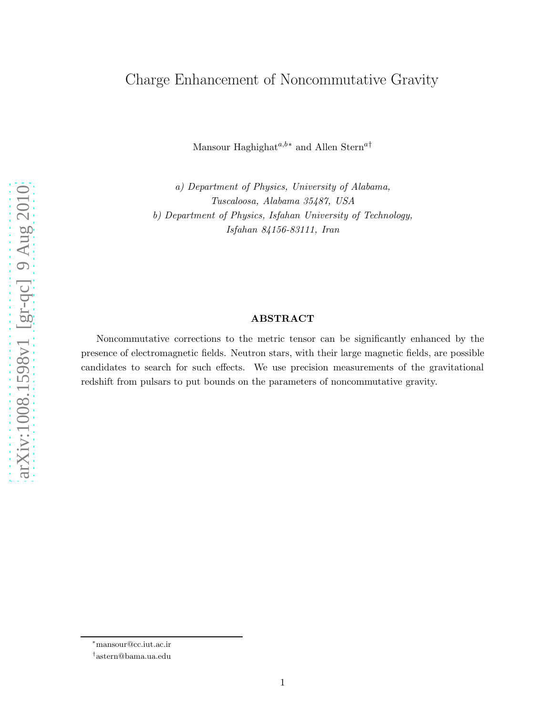# Charge Enhancement of Noncommutative Gravity

Mansour Haghighat<sup> $a,b*$ </sup> and Allen Stern<sup> $a\dagger$ </sup>

a) Department of Physics, University of Alabama, Tuscaloosa, Alabama 35487, USA b) Department of Physics, Isfahan University of Technology, Isfahan 84156-83111, Iran

#### ABSTRACT

Noncommutative corrections to the metric tensor can be significantly enhanced by the presence of electromagnetic fields. Neutron stars, with their large magnetic fields, are possible candidates to search for such effects. We use precision measurements of the gravitational redshift from pulsars to put bounds on the parameters of noncommutative gravity.

arXiv:1008.1598v1 [gr-qc] 9 Aug 2010 [arXiv:1008.1598v1 \[gr-qc\] 9 Aug 2010](http://arxiv.org/abs/1008.1598v1)

<sup>∗</sup>mansour@cc.iut.ac.ir

<sup>†</sup> astern@bama.ua.edu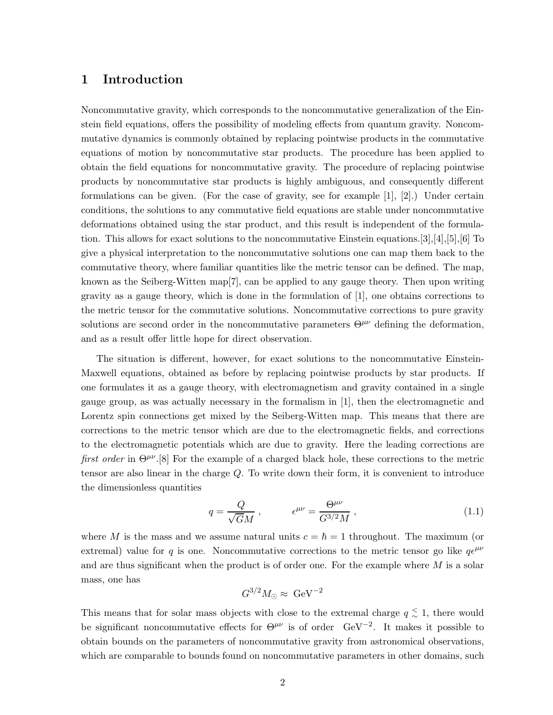## 1 Introduction

Noncommutative gravity, which corresponds to the noncommutative generalization of the Einstein field equations, offers the possibility of modeling effects from quantum gravity. Noncommutative dynamics is commonly obtained by replacing pointwise products in the commutative equations of motion by noncommutative star products. The procedure has been applied to obtain the field equations for noncommutative gravity. The procedure of replacing pointwise products by noncommutative star products is highly ambiguous, and consequently different formulations can be given. (For the case of gravity, see for example [1], [2].) Under certain conditions, the solutions to any commutative field equations are stable under noncommutative deformations obtained using the star product, and this result is independent of the formulation. This allows for exact solutions to the noncommutative Einstein equations.[3],[4],[5],[6] To give a physical interpretation to the noncommutative solutions one can map them back to the commutative theory, where familiar quantities like the metric tensor can be defined. The map, known as the Seiberg-Witten map[7], can be applied to any gauge theory. Then upon writing gravity as a gauge theory, which is done in the formulation of [1], one obtains corrections to the metric tensor for the commutative solutions. Noncommutative corrections to pure gravity solutions are second order in the noncommutative parameters  $\Theta^{\mu\nu}$  defining the deformation, and as a result offer little hope for direct observation.

The situation is different, however, for exact solutions to the noncommutative Einstein-Maxwell equations, obtained as before by replacing pointwise products by star products. If one formulates it as a gauge theory, with electromagnetism and gravity contained in a single gauge group, as was actually necessary in the formalism in [1], then the electromagnetic and Lorentz spin connections get mixed by the Seiberg-Witten map. This means that there are corrections to the metric tensor which are due to the electromagnetic fields, and corrections to the electromagnetic potentials which are due to gravity. Here the leading corrections are first order in  $\Theta^{\mu\nu}$ .[8] For the example of a charged black hole, these corrections to the metric tensor are also linear in the charge Q. To write down their form, it is convenient to introduce the dimensionless quantities

$$
q = \frac{Q}{\sqrt{GM}}, \qquad \epsilon^{\mu\nu} = \frac{\Theta^{\mu\nu}}{G^{3/2}M}, \qquad (1.1)
$$

where M is the mass and we assume natural units  $c = \hbar = 1$  throughout. The maximum (or extremal) value for q is one. Noncommutative corrections to the metric tensor go like  $q\epsilon^{\mu\nu}$ and are thus significant when the product is of order one. For the example where  $M$  is a solar mass, one has

$$
G^{3/2}M_{\odot}\approx \ \rm GeV^{-2}
$$

This means that for solar mass objects with close to the extremal charge  $q \leq 1$ , there would be significant noncommutative effects for  $\Theta^{\mu\nu}$  is of order  $\text{GeV}^{-2}$ . It makes it possible to obtain bounds on the parameters of noncommutative gravity from astronomical observations, which are comparable to bounds found on noncommutative parameters in other domains, such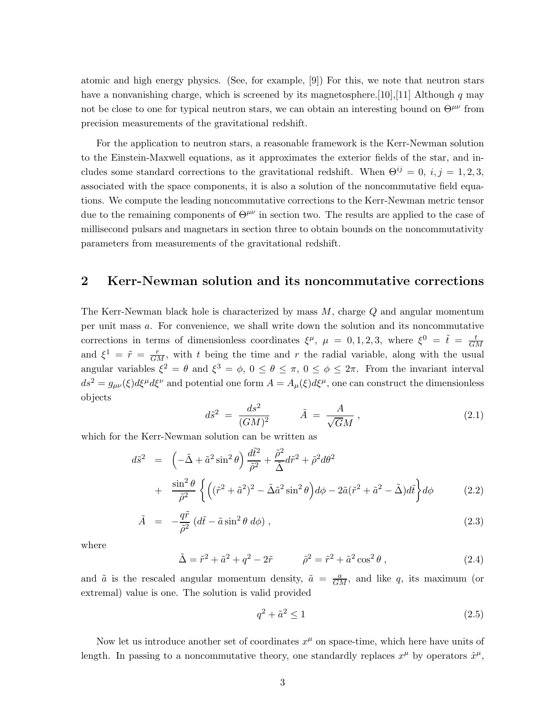atomic and high energy physics. (See, for example, [9]) For this, we note that neutron stars have a nonvanishing charge, which is screened by its magnetosphere. [10], [11] Although q may not be close to one for typical neutron stars, we can obtain an interesting bound on  $\Theta^{\mu\nu}$  from precision measurements of the gravitational redshift.

For the application to neutron stars, a reasonable framework is the Kerr-Newman solution to the Einstein-Maxwell equations, as it approximates the exterior fields of the star, and includes some standard corrections to the gravitational redshift. When  $\Theta^{ij} = 0$ ,  $i, j = 1, 2, 3$ , associated with the space components, it is also a solution of the noncommutative field equations. We compute the leading noncommutative corrections to the Kerr-Newman metric tensor due to the remaining components of  $\Theta^{\mu\nu}$  in section two. The results are applied to the case of millisecond pulsars and magnetars in section three to obtain bounds on the noncommutativity parameters from measurements of the gravitational redshift.

## 2 Kerr-Newman solution and its noncommutative corrections

The Kerr-Newman black hole is characterized by mass  $M$ , charge  $Q$  and angular momentum per unit mass a. For convenience, we shall write down the solution and its noncommutative corrections in terms of dimensionless coordinates  $\xi^{\mu}$ ,  $\mu = 0, 1, 2, 3$ , where  $\xi^0 = \tilde{t} = \frac{t}{C}$ GM and  $\xi^1 = \tilde{r} = \frac{r}{GM}$ , with t being the time and r the radial variable, along with the usual angular variables  $\xi^2 = \theta$  and  $\xi^3 = \phi$ ,  $0 \le \theta \le \pi$ ,  $0 \le \phi \le 2\pi$ . From the invariant interval  $ds^2 = g_{\mu\nu}(\xi)d\xi^{\mu}d\xi^{\nu}$  and potential one form  $A = A_{\mu}(\xi)d\xi^{\mu}$ , one can construct the dimensionless objects

$$
d\tilde{s}^2 = \frac{ds^2}{(GM)^2} \qquad \tilde{A} = \frac{A}{\sqrt{G}M} \,, \tag{2.1}
$$

which for the Kerr-Newman solution can be written as

$$
d\tilde{s}^{2} = \left(-\tilde{\Delta} + \tilde{a}^{2}\sin^{2}\theta\right)\frac{d\tilde{t}^{2}}{\tilde{\rho}^{2}} + \frac{\tilde{\rho}^{2}}{\tilde{\Delta}}d\tilde{r}^{2} + \tilde{\rho}^{2}d\theta^{2} + \frac{\sin^{2}\theta}{\tilde{\rho}^{2}}\left\{\left((\tilde{r}^{2} + \tilde{a}^{2})^{2} - \tilde{\Delta}\tilde{a}^{2}\sin^{2}\theta\right)d\phi - 2\tilde{a}(\tilde{r}^{2} + \tilde{a}^{2} - \tilde{\Delta})d\tilde{t}\right\}d\phi
$$
 (2.2)

$$
\tilde{A} = -\frac{q\tilde{r}}{\tilde{\rho}^2} \left( d\tilde{t} - \tilde{a}\sin^2\theta \ d\phi \right), \tag{2.3}
$$

where

$$
\tilde{\Delta} = \tilde{r}^2 + \tilde{a}^2 + q^2 - 2\tilde{r} \qquad \qquad \tilde{\rho}^2 = \tilde{r}^2 + \tilde{a}^2 \cos^2 \theta \,, \tag{2.4}
$$

and  $\tilde{a}$  is the rescaled angular momentum density,  $\tilde{a} = \frac{a}{GM}$ , and like q, its maximum (or extremal) value is one. The solution is valid provided

$$
q^2 + \tilde{a}^2 \le 1\tag{2.5}
$$

Now let us introduce another set of coordinates  $x^{\mu}$  on space-time, which here have units of length. In passing to a noncommutative theory, one standardly replaces  $x^{\mu}$  by operators  $\hat{x}^{\mu}$ ,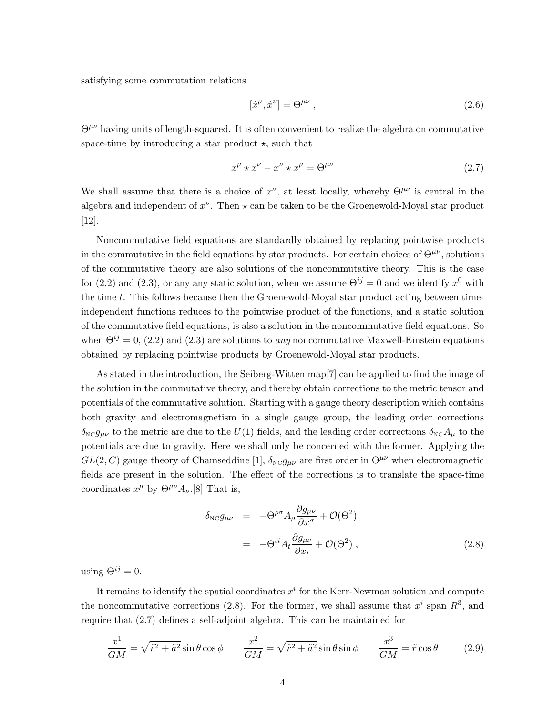satisfying some commutation relations

$$
[\hat{x}^{\mu}, \hat{x}^{\nu}] = \Theta^{\mu\nu} , \qquad (2.6)
$$

 $\Theta^{\mu\nu}$  having units of length-squared. It is often convenient to realize the algebra on commutative space-time by introducing a star product  $\star$ , such that

$$
x^{\mu} \star x^{\nu} - x^{\nu} \star x^{\mu} = \Theta^{\mu\nu} \tag{2.7}
$$

We shall assume that there is a choice of  $x^{\nu}$ , at least locally, whereby  $\Theta^{\mu\nu}$  is central in the algebra and independent of  $x^{\nu}$ . Then  $\star$  can be taken to be the Groenewold-Moyal star product [12].

Noncommutative field equations are standardly obtained by replacing pointwise products in the commutative in the field equations by star products. For certain choices of  $\Theta^{\mu\nu}$ , solutions of the commutative theory are also solutions of the noncommutative theory. This is the case for (2.2) and (2.3), or any any static solution, when we assume  $\Theta^{ij} = 0$  and we identify  $x^0$  with the time t. This follows because then the Groenewold-Moyal star product acting between timeindependent functions reduces to the pointwise product of the functions, and a static solution of the commutative field equations, is also a solution in the noncommutative field equations. So when  $\Theta^{ij} = 0$ , (2.2) and (2.3) are solutions to *any* noncommutative Maxwell-Einstein equations obtained by replacing pointwise products by Groenewold-Moyal star products.

As stated in the introduction, the Seiberg-Witten map[7] can be applied to find the image of the solution in the commutative theory, and thereby obtain corrections to the metric tensor and potentials of the commutative solution. Starting with a gauge theory description which contains both gravity and electromagnetism in a single gauge group, the leading order corrections  $\delta_{\text{NC}}g_{\mu\nu}$  to the metric are due to the  $U(1)$  fields, and the leading order corrections  $\delta_{\text{NC}}A_{\mu}$  to the potentials are due to gravity. Here we shall only be concerned with the former. Applying the  $GL(2, C)$  gauge theory of Chamseddine [1],  $\delta_{\text{NC}}g_{\mu\nu}$  are first order in  $\Theta^{\mu\nu}$  when electromagnetic fields are present in the solution. The effect of the corrections is to translate the space-time coordinates  $x^{\mu}$  by  $\Theta^{\mu\nu}A_{\nu}$ .[8] That is,

$$
\delta_{\text{NC}} g_{\mu\nu} = -\Theta^{\rho\sigma} A_{\rho} \frac{\partial g_{\mu\nu}}{\partial x^{\sigma}} + \mathcal{O}(\Theta^2)
$$
  
= 
$$
-\Theta^{ti} A_t \frac{\partial g_{\mu\nu}}{\partial x_i} + \mathcal{O}(\Theta^2) ,
$$
 (2.8)

using  $\Theta^{ij} = 0$ .

It remains to identify the spatial coordinates  $x^i$  for the Kerr-Newman solution and compute the noncommutative corrections (2.8). For the former, we shall assume that  $x^i$  span  $R^3$ , and require that (2.7) defines a self-adjoint algebra. This can be maintained for

$$
\frac{x^1}{GM} = \sqrt{\tilde{r}^2 + \tilde{a}^2} \sin \theta \cos \phi \qquad \frac{x^2}{GM} = \sqrt{\tilde{r}^2 + \tilde{a}^2} \sin \theta \sin \phi \qquad \frac{x^3}{GM} = \tilde{r} \cos \theta \qquad (2.9)
$$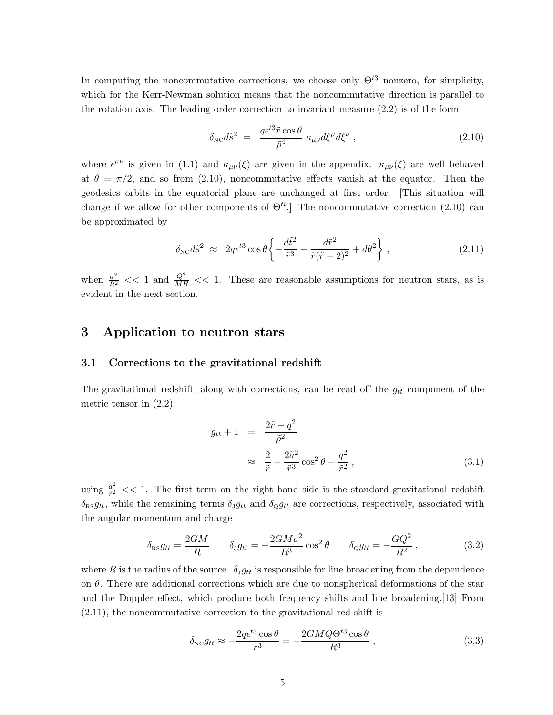In computing the noncommutative corrections, we choose only  $\Theta^{t3}$  nonzero, for simplicity, which for the Kerr-Newman solution means that the noncommutative direction is parallel to the rotation axis. The leading order correction to invariant measure (2.2) is of the form

$$
\delta_{\rm NC} d\tilde{s}^2 = \frac{q\epsilon^{t3}\tilde{r}\cos\theta}{\tilde{\rho}^4} \kappa_{\mu\nu} d\xi^{\mu} d\xi^{\nu} , \qquad (2.10)
$$

where  $\epsilon^{\mu\nu}$  is given in (1.1) and  $\kappa_{\mu\nu}(\xi)$  are given in the appendix.  $\kappa_{\mu\nu}(\xi)$  are well behaved at  $\theta = \pi/2$ , and so from (2.10), noncommutative effects vanish at the equator. Then the geodesics orbits in the equatorial plane are unchanged at first order. [This situation will change if we allow for other components of  $\Theta^{ti}$ . The noncommutative correction (2.10) can be approximated by

$$
\delta_{\rm NC} d\tilde{s}^2 \approx 2q\epsilon^{t3} \cos\theta \left\{ -\frac{d\tilde{t}^2}{\tilde{r}^3} - \frac{d\tilde{r}^2}{\tilde{r}(\tilde{r} - 2)^2} + d\theta^2 \right\},\tag{2.11}
$$

when  $\frac{a^2}{R^2}$  << 1 and  $\frac{Q^2}{MR}$  << 1. These are reasonable assumptions for neutron stars, as is evident in the next section.

## 3 Application to neutron stars

#### 3.1 Corrections to the gravitational redshift

The gravitational redshift, along with corrections, can be read off the  $g_{tt}$  component of the metric tensor in (2.2):

$$
g_{tt} + 1 = \frac{2\tilde{r} - q^2}{\tilde{\rho}^2}
$$
  

$$
\approx \frac{2}{\tilde{r}} - \frac{2\tilde{a}^2}{\tilde{r}^3} \cos^2 \theta - \frac{q^2}{\tilde{r}^2},
$$
 (3.1)

using  $\frac{\tilde{a}^2}{\tilde{r}^2}$  $\frac{a^2}{\tilde{r}^2}$  << 1. The first term on the right hand side is the standard gravitational redshift  $\delta_{\text{RS}}g_{tt}$ , while the remaining terms  $\delta_{\text{J}}g_{tt}$  and  $\delta_{\text{Q}}g_{tt}$  are corrections, respectively, associated with the angular momentum and charge

$$
\delta_{\text{RS}} g_{tt} = \frac{2GM}{R} \qquad \delta_{\text{J}} g_{tt} = -\frac{2GMa^2}{R^3} \cos^2 \theta \qquad \delta_{\text{Q}} g_{tt} = -\frac{GQ^2}{R^2} \,, \tag{3.2}
$$

where R is the radius of the source.  $\delta_{\text{J}}g_{tt}$  is responsible for line broadening from the dependence on  $\theta$ . There are additional corrections which are due to nonspherical deformations of the star and the Doppler effect, which produce both frequency shifts and line broadening.[13] From (2.11), the noncommutative correction to the gravitational red shift is

$$
\delta_{\text{NC}} g_{tt} \approx -\frac{2q\epsilon^{t3}\cos\theta}{\tilde{r}^3} = -\frac{2GMQ\Theta^{t3}\cos\theta}{R^3} \,, \tag{3.3}
$$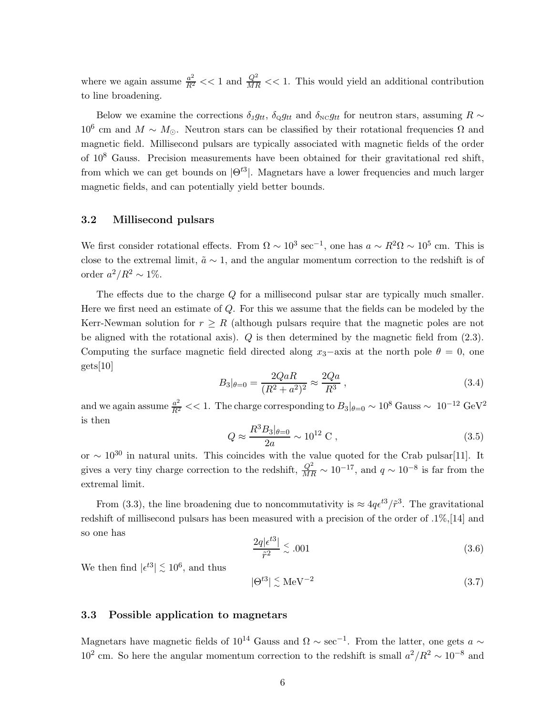where we again assume  $\frac{a^2}{R^2} << 1$  and  $\frac{Q^2}{MR} << 1$ . This would yield an additional contribution to line broadening.

Below we examine the corrections  $\delta_{y}g_{tt}$ ,  $\delta_{\Omega}g_{tt}$  and  $\delta_{\text{NC}}g_{tt}$  for neutron stars, assuming  $R \sim$ 10<sup>6</sup> cm and  $M \sim M_{\odot}$ . Neutron stars can be classified by their rotational frequencies Ω and magnetic field. Millisecond pulsars are typically associated with magnetic fields of the order of 10<sup>8</sup> Gauss. Precision measurements have been obtained for their gravitational red shift, from which we can get bounds on  $|\Theta^{t3}|$ . Magnetars have a lower frequencies and much larger magnetic fields, and can potentially yield better bounds.

## 3.2 Millisecond pulsars

We first consider rotational effects. From  $\Omega \sim 10^3 \text{ sec}^{-1}$ , one has  $a \sim R^2 \Omega \sim 10^5 \text{ cm}$ . This is close to the extremal limit,  $\tilde{a} \sim 1$ , and the angular momentum correction to the redshift is of order  $a^2/R^2 \sim 1\%$ .

The effects due to the charge Q for a millisecond pulsar star are typically much smaller. Here we first need an estimate of  $Q$ . For this we assume that the fields can be modeled by the Kerr-Newman solution for  $r \geq R$  (although pulsars require that the magnetic poles are not be aligned with the rotational axis).  $Q$  is then determined by the magnetic field from  $(2.3)$ . Computing the surface magnetic field directed along  $x_3$ −axis at the north pole  $\theta = 0$ , one gets[10]

$$
B_3|_{\theta=0} = \frac{2QaR}{(R^2 + a^2)^2} \approx \frac{2Qa}{R^3} \,,\tag{3.4}
$$

and we again assume  $\frac{a^2}{R^2}$  < 1. The charge corresponding to  $B_3|_{\theta=0} \sim 10^8$  Gauss  $\sim 10^{-12}$  GeV<sup>2</sup> is then

$$
Q \approx \frac{R^3 B_3|_{\theta=0}}{2a} \sim 10^{12} \text{ C},\qquad (3.5)
$$

or  $\sim 10^{30}$  in natural units. This coincides with the value quoted for the Crab pulsar[11]. It gives a very tiny charge correction to the redshift,  $\frac{Q^2}{MR} \sim 10^{-17}$ , and  $q \sim 10^{-8}$  is far from the extremal limit.

From (3.3), the line broadening due to noncommutativity is  $\approx 4q\epsilon^{t3}/\tilde{r}^3$ . The gravitational redshift of millisecond pulsars has been measured with a precision of the order of .1%,[14] and so one has

$$
\frac{2q|\epsilon^{t3}|}{\tilde{r}^2} \stackrel{\scriptstyle <}{\scriptstyle \sim} .001\tag{3.6}
$$

We then find  $|\epsilon^{t3}| \stackrel{\scriptstyle <}{\phantom{}_{\sim}} 10^6$ , and thus

$$
|\Theta^{t3}| \stackrel{\scriptstyle <}{\phantom{}_{\sim}} \, \text{MeV}^{-2} \tag{3.7}
$$

### 3.3 Possible application to magnetars

Magnetars have magnetic fields of  $10^{14}$  Gauss and  $\Omega \sim \text{sec}^{-1}$ . From the latter, one gets  $a \sim$  $10^2$  cm. So here the angular momentum correction to the redshift is small  $a^2/R^2 \sim 10^{-8}$  and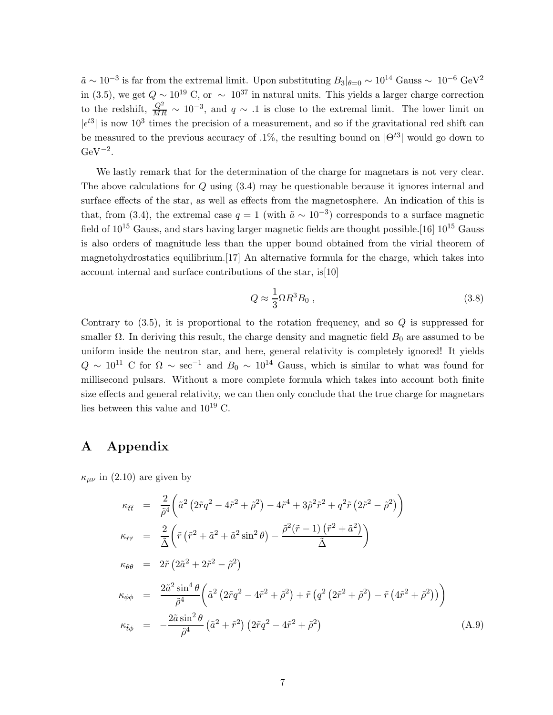$\tilde{a} \sim 10^{-3}$  is far from the extremal limit. Upon substituting  $B_3|_{\theta=0} \sim 10^{14}$  Gauss  $\sim 10^{-6}$  GeV<sup>2</sup> in (3.5), we get  $Q \sim 10^{19}$  C, or  $\sim 10^{37}$  in natural units. This yields a larger charge correction to the redshift,  $\frac{Q^2}{MR} \sim 10^{-3}$ , and  $q \sim .1$  is close to the extremal limit. The lower limit on  $|\epsilon^{t3}|$  is now 10<sup>3</sup> times the precision of a measurement, and so if the gravitational red shift can be measured to the previous accuracy of .1%, the resulting bound on  $|\Theta^{t3}|$  would go down to  $\mathrm{GeV}^{-2}$ .

We lastly remark that for the determination of the charge for magnetars is not very clear. The above calculations for Q using (3.4) may be questionable because it ignores internal and surface effects of the star, as well as effects from the magnetosphere. An indication of this is that, from (3.4), the extremal case  $q = 1$  (with  $\tilde{a} \sim 10^{-3}$ ) corresponds to a surface magnetic field of  $10^{15}$  Gauss, and stars having larger magnetic fields are thought possible. [16]  $10^{15}$  Gauss is also orders of magnitude less than the upper bound obtained from the virial theorem of magnetohydrostatics equilibrium.[17] An alternative formula for the charge, which takes into account internal and surface contributions of the star, is[10]

$$
Q \approx \frac{1}{3} \Omega R^3 B_0 , \qquad (3.8)
$$

Contrary to  $(3.5)$ , it is proportional to the rotation frequency, and so  $Q$  is suppressed for smaller  $\Omega$ . In deriving this result, the charge density and magnetic field  $B_0$  are assumed to be uniform inside the neutron star, and here, general relativity is completely ignored! It yields  $Q \sim 10^{11}$  C for  $\Omega \sim \text{sec}^{-1}$  and  $B_0 \sim 10^{14}$  Gauss, which is similar to what was found for millisecond pulsars. Without a more complete formula which takes into account both finite size effects and general relativity, we can then only conclude that the true charge for magnetars lies between this value and  $10^{19}$  C.

# A Appendix

 $\kappa_{\mu\nu}$  in (2.10) are given by

$$
\kappa_{\tilde{t}\tilde{t}} = \frac{2}{\tilde{\rho}^4} \left( \tilde{a}^2 \left( 2\tilde{r}q^2 - 4\tilde{r}^2 + \tilde{\rho}^2 \right) - 4\tilde{r}^4 + 3\tilde{\rho}^2 \tilde{r}^2 + q^2 \tilde{r} \left( 2\tilde{r}^2 - \tilde{\rho}^2 \right) \right)
$$
\n
$$
\kappa_{\tilde{r}\tilde{r}} = \frac{2}{\tilde{\Delta}} \left( \tilde{r} \left( \tilde{r}^2 + \tilde{a}^2 + \tilde{a}^2 \sin^2 \theta \right) - \frac{\tilde{\rho}^2 (\tilde{r} - 1) \left( \tilde{r}^2 + \tilde{a}^2 \right)}{\tilde{\Delta}} \right)
$$
\n
$$
\kappa_{\theta\theta} = 2\tilde{r} \left( 2\tilde{a}^2 + 2\tilde{r}^2 - \tilde{\rho}^2 \right)
$$
\n
$$
\kappa_{\phi\phi} = \frac{2\tilde{a}^2 \sin^4 \theta}{\tilde{\rho}^4} \left( \tilde{a}^2 \left( 2\tilde{r}q^2 - 4\tilde{r}^2 + \tilde{\rho}^2 \right) + \tilde{r} \left( q^2 \left( 2\tilde{r}^2 + \tilde{\rho}^2 \right) - \tilde{r} \left( 4\tilde{r}^2 + \tilde{\rho}^2 \right) \right) \right)
$$
\n
$$
\kappa_{\tilde{t}\phi} = -\frac{2\tilde{a} \sin^2 \theta}{\tilde{\rho}^4} \left( \tilde{a}^2 + \tilde{r}^2 \right) \left( 2\tilde{r}q^2 - 4\tilde{r}^2 + \tilde{\rho}^2 \right) \tag{A.9}
$$